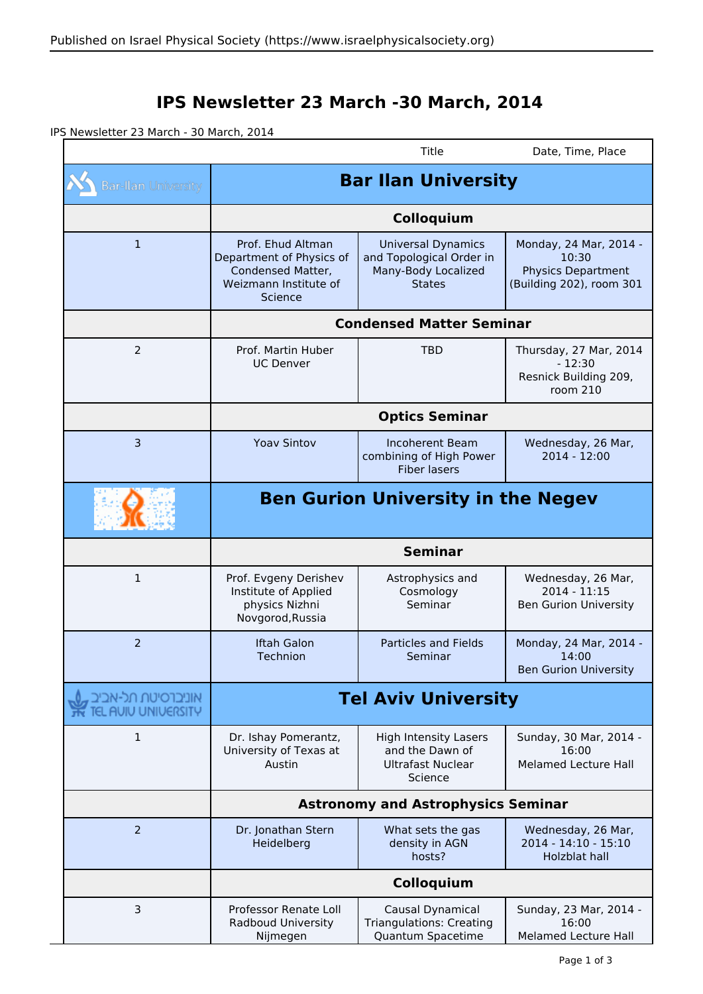## **IPS Newsletter 23 March -30 March, 2014**

IPS Newsletter 23 March - 30 March, 2014

|                                           |                                                                                                        | Title                                                                                         | Date, Time, Place                                                                        |  |
|-------------------------------------------|--------------------------------------------------------------------------------------------------------|-----------------------------------------------------------------------------------------------|------------------------------------------------------------------------------------------|--|
| <b>Bar-Ilan University</b>                | <b>Bar Ilan University</b>                                                                             |                                                                                               |                                                                                          |  |
|                                           | Colloquium                                                                                             |                                                                                               |                                                                                          |  |
| $\mathbf{1}$                              | Prof. Ehud Altman<br>Department of Physics of<br>Condensed Matter,<br>Weizmann Institute of<br>Science | <b>Universal Dynamics</b><br>and Topological Order in<br>Many-Body Localized<br><b>States</b> | Monday, 24 Mar, 2014 -<br>10:30<br><b>Physics Department</b><br>(Building 202), room 301 |  |
|                                           | <b>Condensed Matter Seminar</b>                                                                        |                                                                                               |                                                                                          |  |
| $\overline{2}$                            | Prof. Martin Huber<br><b>UC Denver</b>                                                                 | <b>TBD</b>                                                                                    | Thursday, 27 Mar, 2014<br>$-12:30$<br>Resnick Building 209,<br>room 210                  |  |
|                                           | <b>Optics Seminar</b>                                                                                  |                                                                                               |                                                                                          |  |
| $\overline{3}$                            | <b>Yoav Sintov</b>                                                                                     | Incoherent Beam<br>combining of High Power<br><b>Fiber lasers</b>                             | Wednesday, 26 Mar,<br>$2014 - 12:00$                                                     |  |
|                                           | <b>Ben Gurion University in the Negev</b>                                                              |                                                                                               |                                                                                          |  |
|                                           | <b>Seminar</b>                                                                                         |                                                                                               |                                                                                          |  |
| 1                                         | Prof. Evgeny Derishev<br>Institute of Applied<br>physics Nizhni<br>Novgorod, Russia                    | Astrophysics and<br>Cosmology<br>Seminar                                                      | Wednesday, 26 Mar,<br>2014 - 11:15<br><b>Ben Gurion University</b>                       |  |
| $\overline{2}$                            | <b>Iftah Galon</b><br>Technion                                                                         | <b>Particles and Fields</b><br>Seminar                                                        | Monday, 24 Mar, 2014 -<br>14:00<br><b>Ben Gurion University</b>                          |  |
| אוניברסיטת תל-אביב<br>TEL AUIU UNIUERSITY | <b>Tel Aviv University</b>                                                                             |                                                                                               |                                                                                          |  |
| 1                                         | Dr. Ishay Pomerantz,<br>University of Texas at<br>Austin                                               | <b>High Intensity Lasers</b><br>and the Dawn of<br><b>Ultrafast Nuclear</b><br>Science        | Sunday, 30 Mar, 2014 -<br>16:00<br><b>Melamed Lecture Hall</b>                           |  |
|                                           | <b>Astronomy and Astrophysics Seminar</b>                                                              |                                                                                               |                                                                                          |  |
| $\overline{2}$                            | Dr. Jonathan Stern<br>Heidelberg                                                                       | What sets the gas<br>density in AGN<br>hosts?                                                 | Wednesday, 26 Mar,<br>2014 - 14:10 - 15:10<br>Holzblat hall                              |  |
|                                           | Colloquium                                                                                             |                                                                                               |                                                                                          |  |
| 3                                         | Professor Renate Loll<br>Radboud University<br>Nijmegen                                                | Causal Dynamical<br><b>Triangulations: Creating</b><br>Quantum Spacetime                      | Sunday, 23 Mar, 2014 -<br>16:00<br>Melamed Lecture Hall                                  |  |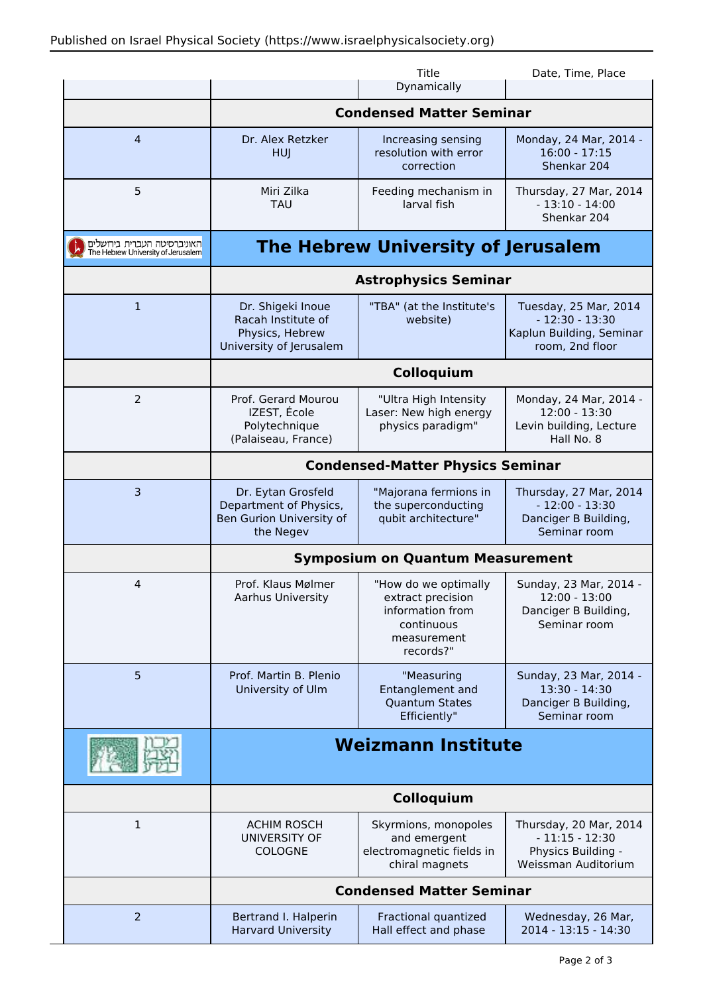|                                                                   |                                                                                       | Title<br>Dynamically                                                                                    | Date, Time, Place                                                                        |  |
|-------------------------------------------------------------------|---------------------------------------------------------------------------------------|---------------------------------------------------------------------------------------------------------|------------------------------------------------------------------------------------------|--|
|                                                                   | <b>Condensed Matter Seminar</b>                                                       |                                                                                                         |                                                                                          |  |
| $\overline{4}$                                                    | Dr. Alex Retzker<br><b>HUJ</b>                                                        | Increasing sensing<br>resolution with error<br>correction                                               | Monday, 24 Mar, 2014 -<br>$16:00 - 17:15$<br>Shenkar 204                                 |  |
| 5                                                                 | Miri Zilka<br><b>TAU</b>                                                              | Feeding mechanism in<br>larval fish                                                                     | Thursday, 27 Mar, 2014<br>$-13:10 - 14:00$<br>Shenkar 204                                |  |
| האוניברסיטה העברית בירושלים<br>The Hebrew University of Jerusalem | <b>The Hebrew University of Jerusalem</b>                                             |                                                                                                         |                                                                                          |  |
|                                                                   | <b>Astrophysics Seminar</b>                                                           |                                                                                                         |                                                                                          |  |
| $\mathbf{1}$                                                      | Dr. Shigeki Inoue<br>Racah Institute of<br>Physics, Hebrew<br>University of Jerusalem | "TBA" (at the Institute's<br>website)                                                                   | Tuesday, 25 Mar, 2014<br>$-12:30 - 13:30$<br>Kaplun Building, Seminar<br>room, 2nd floor |  |
|                                                                   | Colloquium                                                                            |                                                                                                         |                                                                                          |  |
| $\overline{2}$                                                    | Prof. Gerard Mourou<br>IZEST, École<br>Polytechnique<br>(Palaiseau, France)           | "Ultra High Intensity<br>Laser: New high energy<br>physics paradigm"                                    | Monday, 24 Mar, 2014 -<br>$12:00 - 13:30$<br>Levin building, Lecture<br>Hall No. 8       |  |
|                                                                   | <b>Condensed-Matter Physics Seminar</b>                                               |                                                                                                         |                                                                                          |  |
| 3                                                                 | Dr. Eytan Grosfeld<br>Department of Physics,<br>Ben Gurion University of<br>the Negev | "Majorana fermions in<br>the superconducting<br>qubit architecture"                                     | Thursday, 27 Mar, 2014<br>$-12:00 - 13:30$<br>Danciger B Building,<br>Seminar room       |  |
|                                                                   | <b>Symposium on Quantum Measurement</b>                                               |                                                                                                         |                                                                                          |  |
| 4                                                                 | Prof. Klaus Mølmer<br>Aarhus University                                               | "How do we optimally<br>extract precision<br>information from<br>continuous<br>measurement<br>records?" | Sunday, 23 Mar, 2014 -<br>$12:00 - 13:00$<br>Danciger B Building,<br>Seminar room        |  |
| 5                                                                 | Prof. Martin B. Plenio<br>University of Ulm                                           | "Measuring<br>Entanglement and<br><b>Quantum States</b><br>Efficiently"                                 | Sunday, 23 Mar, 2014 -<br>$13:30 - 14:30$<br>Danciger B Building,<br>Seminar room        |  |
|                                                                   | <b>Weizmann Institute</b>                                                             |                                                                                                         |                                                                                          |  |
|                                                                   | Colloquium                                                                            |                                                                                                         |                                                                                          |  |
| $\mathbf 1$                                                       | <b>ACHIM ROSCH</b><br>UNIVERSITY OF<br><b>COLOGNE</b>                                 | Skyrmions, monopoles<br>and emergent<br>electromagnetic fields in<br>chiral magnets                     | Thursday, 20 Mar, 2014<br>$-11:15 - 12:30$<br>Physics Building -<br>Weissman Auditorium  |  |
|                                                                   | <b>Condensed Matter Seminar</b>                                                       |                                                                                                         |                                                                                          |  |
| $\overline{2}$                                                    | Bertrand I. Halperin<br><b>Harvard University</b>                                     | Fractional quantized<br>Hall effect and phase                                                           | Wednesday, 26 Mar,<br>2014 - 13:15 - 14:30                                               |  |